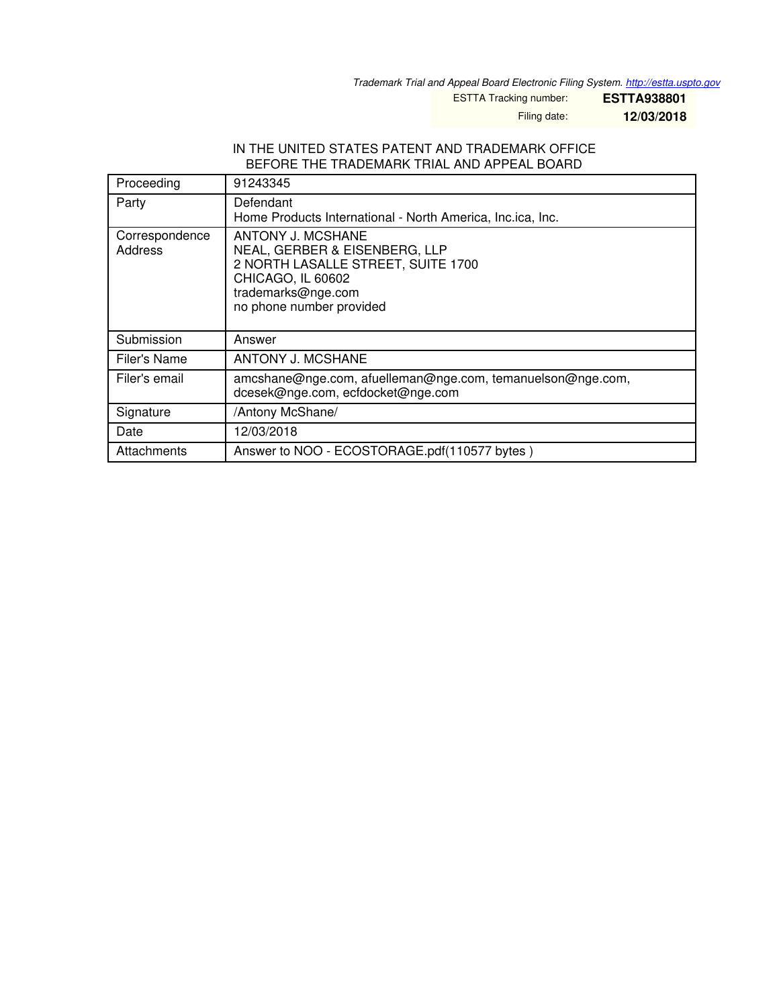*Trademark Trial and Appeal Board Electronic Filing System. <http://estta.uspto.gov>*

ESTTA Tracking number: **ESTTA938801**

Filing date: **12/03/2018**

#### IN THE UNITED STATES PATENT AND TRADEMARK OFFICE BEFORE THE TRADEMARK TRIAL AND APPEAL BOARD

| Proceeding                | 91243345                                                                                                                                                        |  |  |
|---------------------------|-----------------------------------------------------------------------------------------------------------------------------------------------------------------|--|--|
| Party                     | Defendant<br>Home Products International - North America, Inc.ica, Inc.                                                                                         |  |  |
| Correspondence<br>Address | ANTONY J. MCSHANE<br>NEAL, GERBER & EISENBERG, LLP<br>2 NORTH LASALLE STREET, SUITE 1700<br>CHICAGO, IL 60602<br>trademarks@nge.com<br>no phone number provided |  |  |
| Submission                | Answer                                                                                                                                                          |  |  |
| Filer's Name              | <b>ANTONY J. MCSHANE</b>                                                                                                                                        |  |  |
| Filer's email             | amcshane@nge.com, afuelleman@nge.com, temanuelson@nge.com,<br>dcesek@nge.com, ecfdocket@nge.com                                                                 |  |  |
| Signature                 | /Antony McShane/                                                                                                                                                |  |  |
| Date                      | 12/03/2018                                                                                                                                                      |  |  |
| Attachments               | Answer to NOO - ECOSTORAGE.pdf(110577 bytes)                                                                                                                    |  |  |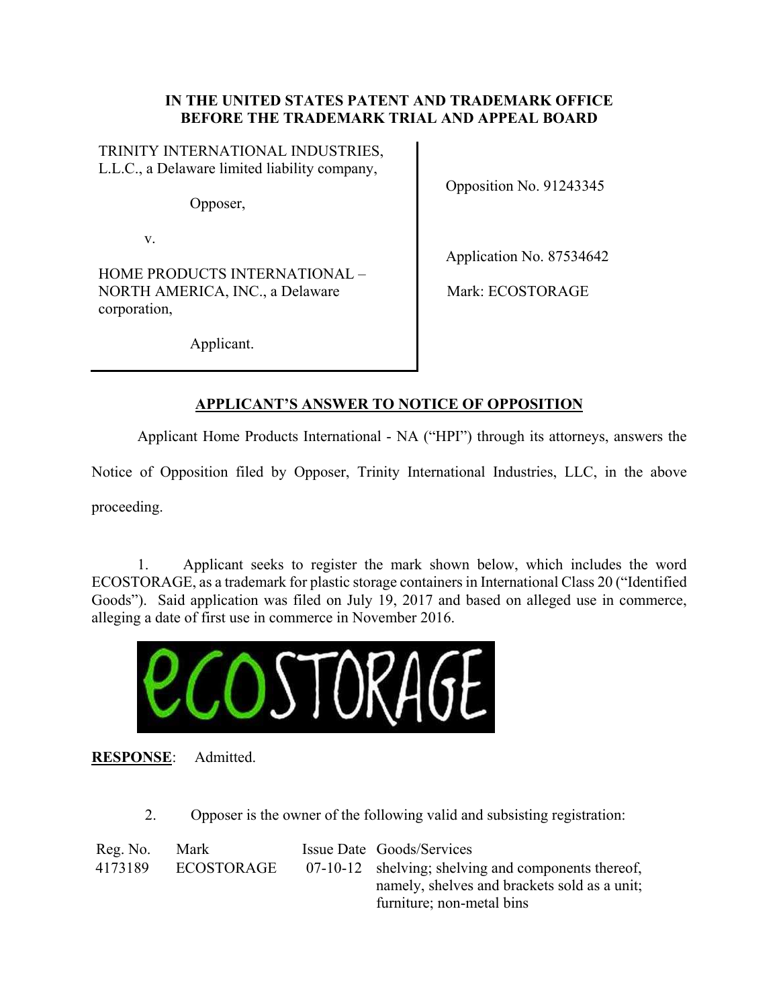# **IN THE UNITED STATES PATENT AND TRADEMARK OFFICE BEFORE THE TRADEMARK TRIAL AND APPEAL BOARD**

TRINITY INTERNATIONAL INDUSTRIES, L.L.C., a Delaware limited liability company,

Opposer,

v.

HOME PRODUCTS INTERNATIONAL – NORTH AMERICA, INC., a Delaware corporation,

Opposition No. 91243345

Application No. 87534642

Mark: ECOSTORAGE

Applicant.

# **APPLICANT'S ANSWER TO NOTICE OF OPPOSITION**

Applicant Home Products International - NA ("HPI") through its attorneys, answers the

Notice of Opposition filed by Opposer, Trinity International Industries, LLC, in the above

proceeding.

1. Applicant seeks to register the mark shown below, which includes the word ECOSTORAGE, as a trademark for plastic storage containers in International Class 20 ("Identified Goods"). Said application was filed on July 19, 2017 and based on alleged use in commerce, alleging a date of first use in commerce in November 2016.



**RESPONSE**: Admitted.

2. Opposer is the owner of the following valid and subsisting registration:

| Reg. No. | Mark       | Issue Date Goods/Services                           |
|----------|------------|-----------------------------------------------------|
| 4173189  | ECOSTORAGE | 07-10-12 shelving; shelving and components thereof, |
|          |            | namely, shelves and brackets sold as a unit;        |
|          |            | furniture; non-metal bins                           |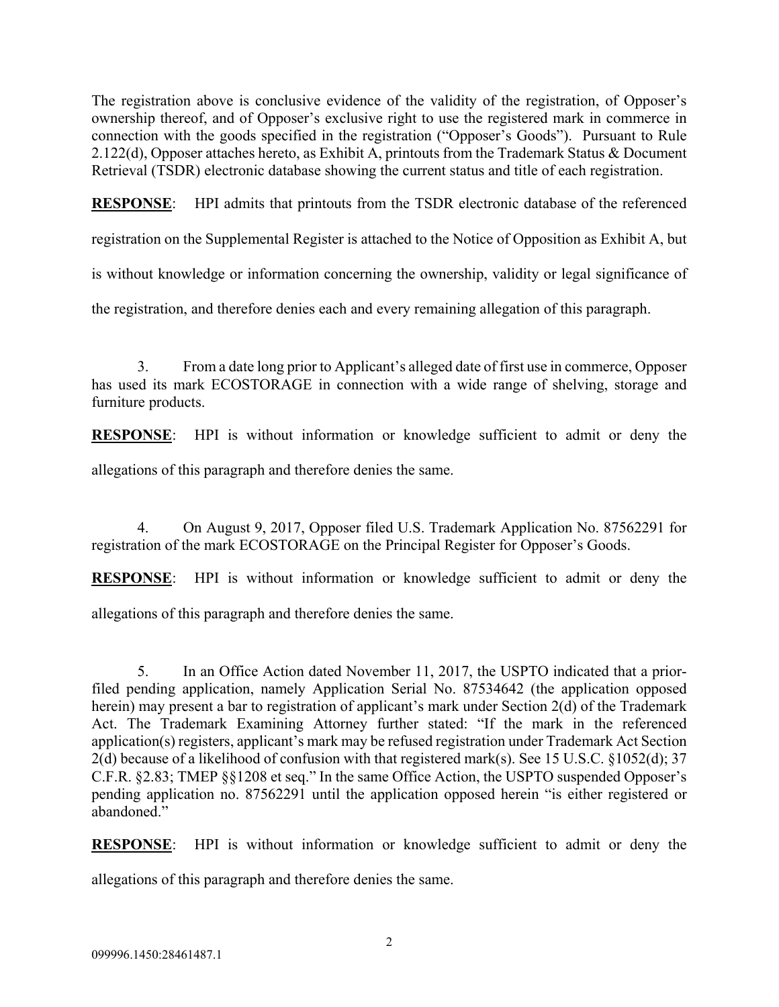The registration above is conclusive evidence of the validity of the registration, of Opposer's ownership thereof, and of Opposer's exclusive right to use the registered mark in commerce in connection with the goods specified in the registration ("Opposer's Goods"). Pursuant to Rule 2.122(d), Opposer attaches hereto, as Exhibit A, printouts from the Trademark Status & Document Retrieval (TSDR) electronic database showing the current status and title of each registration.

**RESPONSE**: HPI admits that printouts from the TSDR electronic database of the referenced

registration on the Supplemental Register is attached to the Notice of Opposition as Exhibit A, but

is without knowledge or information concerning the ownership, validity or legal significance of

the registration, and therefore denies each and every remaining allegation of this paragraph.

3. From a date long prior to Applicant's alleged date of first use in commerce, Opposer has used its mark ECOSTORAGE in connection with a wide range of shelving, storage and furniture products.

**RESPONSE**: HPI is without information or knowledge sufficient to admit or deny the

allegations of this paragraph and therefore denies the same.

4. On August 9, 2017, Opposer filed U.S. Trademark Application No. 87562291 for registration of the mark ECOSTORAGE on the Principal Register for Opposer's Goods.

**RESPONSE**: HPI is without information or knowledge sufficient to admit or deny the

allegations of this paragraph and therefore denies the same.

5. In an Office Action dated November 11, 2017, the USPTO indicated that a priorfiled pending application, namely Application Serial No. 87534642 (the application opposed herein) may present a bar to registration of applicant's mark under Section 2(d) of the Trademark Act. The Trademark Examining Attorney further stated: "If the mark in the referenced application(s) registers, applicant's mark may be refused registration under Trademark Act Section 2(d) because of a likelihood of confusion with that registered mark(s). See 15 U.S.C. §1052(d); 37 C.F.R. §2.83; TMEP §§1208 et seq." In the same Office Action, the USPTO suspended Opposer's pending application no. 87562291 until the application opposed herein "is either registered or abandoned."

**RESPONSE**: HPI is without information or knowledge sufficient to admit or deny the

allegations of this paragraph and therefore denies the same.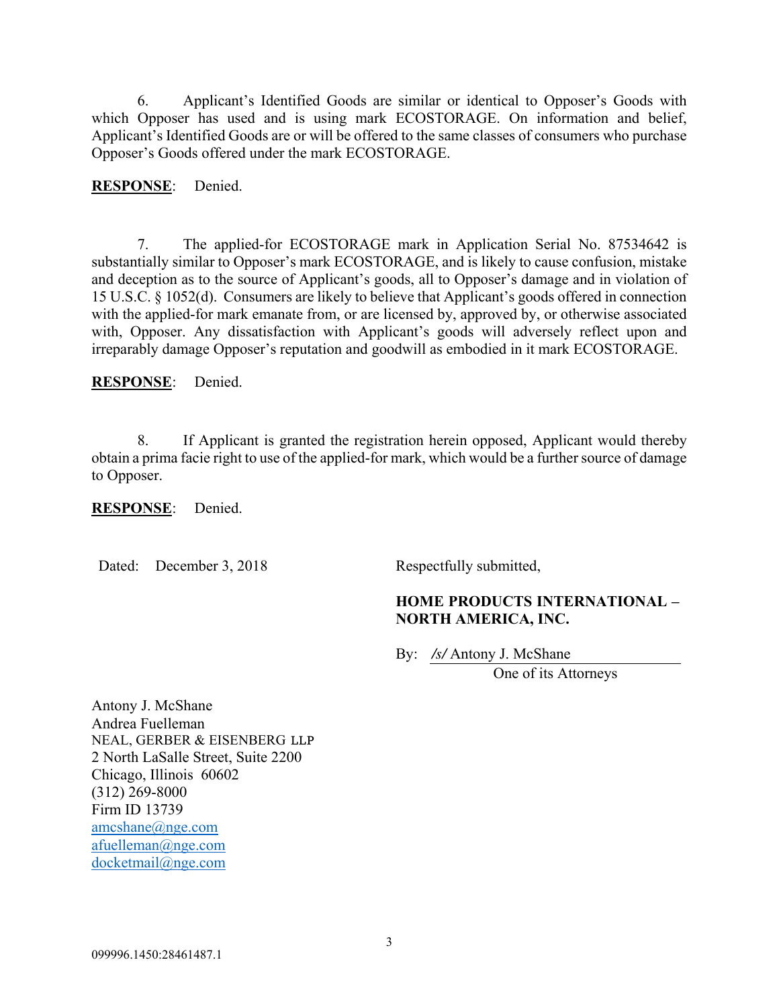6. Applicant's Identified Goods are similar or identical to Opposer's Goods with which Opposer has used and is using mark ECOSTORAGE. On information and belief, Applicant's Identified Goods are or will be offered to the same classes of consumers who purchase Opposer's Goods offered under the mark ECOSTORAGE.

**RESPONSE**: Denied.

7. The applied-for ECOSTORAGE mark in Application Serial No. 87534642 is substantially similar to Opposer's mark ECOSTORAGE, and is likely to cause confusion, mistake and deception as to the source of Applicant's goods, all to Opposer's damage and in violation of 15 U.S.C. § 1052(d). Consumers are likely to believe that Applicant's goods offered in connection with the applied-for mark emanate from, or are licensed by, approved by, or otherwise associated with, Opposer. Any dissatisfaction with Applicant's goods will adversely reflect upon and irreparably damage Opposer's reputation and goodwill as embodied in it mark ECOSTORAGE.

**RESPONSE**: Denied.

8. If Applicant is granted the registration herein opposed, Applicant would thereby obtain a prima facie right to use of the applied-for mark, which would be a further source of damage to Opposer.

#### **RESPONSE**: Denied.

Dated: December 3, 2018 Respectfully submitted,

# **HOME PRODUCTS INTERNATIONAL – NORTH AMERICA, INC.**

By: */s/* Antony J. McShane

One of its Attorneys

Antony J. McShane Andrea Fuelleman NEAL, GERBER & EISENBERG LLP 2 North LaSalle Street, Suite 2200 Chicago, Illinois 60602 (312) 269-8000 Firm ID 13739 amcshane@nge.com afuelleman@nge.com docketmail@nge.com